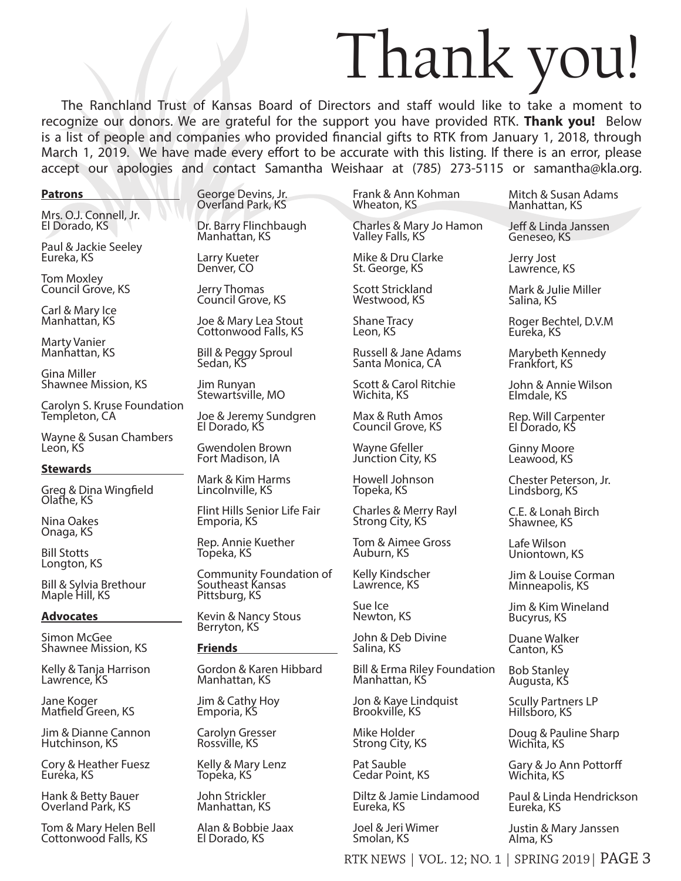# Thank you!

The Ranchland Trust of Kansas Board of Directors and staff would like to take a moment to recognize our donors. We are grateful for the support you have provided RTK. **Thank you!** Below is a list of people and companies who provided financial gifts to RTK from January 1, 2018, through March 1, 2019. We have made every effort to be accurate with this listing. If there is an error, please accept our apologies and contact Samantha Weishaar at (785) 273-5115 or samantha@kla.org.

### **Patrons**

Mrs. O.J. Connell, Jr. El Dorado, KS

Paul & Jackie Seeley Eureka, KS

Tom Moxley Council Grove, KS

Carl & Mary Ice Manhattan, KS

Marty Vanier Manhattan, KS

Gina Miller Shawnee Mission, KS

Carolyn S. Kruse Foundation Templeton, CA

Wayne & Susan Chambers León, KS

## **Stewards**

Greg & Dina Wingfield Olathe, KS

Nina Oakes Onaga, KS

Bill Stotts Longton, KS

Bill & Sylvia Brethour Maple Hill, KS

## **Advocates**

Simon McGee Shawnee Mission, KS

Kelly & Tanja Harrison Lawrence, KS

Jane Koger Matfield Green, KS

Jim & Dianne Cannon Hutchinson, KS

Cory & Heather Fuesz Euréka, KS

Hank & Betty Bauer Overland Park, KS

Tom & Mary Helen Bell Cottonwood Falls, KS

George Devins, Jr. Overland Park, KS

Dr. Barry Flinchbaugh Manhattan, KS

Larry Kueter Denver, CO

Jerry Thomas Council Grove, KS

Joe & Mary Lea Stout Cottonwood Falls, KS

Bill & Peggy Sproul Sedan, KS

Jim Runyan Stewartsville, MO

Joe & Jeremy Sundgren El Dorado, KS

Gwendolen Brown Fort Madison, IA

Mark & Kim Harms Lincolnville, KS

Flint Hills Senior Life Fair Emporia, KS

Rep. Annie Kuether Topeka, KS

Community Foundation of Southeast Kansas Pittsburg, KS

Kevin & Nancy Stous Berryton, KS

# **Friends**

Gordon & Karen Hibbard Manhattan, KS

Jim & Cathy Hoy Emporia, KS

Carolyn Gresser Rossville, KS

Kelly & Mary Lenz Topeka, KS

John Strickler Manhattan, KS

Alan & Bobbie Jaax El Dorado, KS

Frank & Ann Kohman Wheaton, KS

Charles & Mary Jo Hamon Valley Falls, KS

Mike & Dru Clarke St. George, KS

Scott Strickland Westwood, KS

Shane Tracy Leon, KS

Russell & Jane Adams Santa Monica, CA

Scott & Carol Ritchie Wichita, KS

Max & Ruth Amos Council Grove, KS

Wayne Gfeller Junction City, KS

Howell Johnson Topeka, KS

Charles & Merry Rayl Strong City, KS

Tom & Aimee Gross Auburn, KS

Kelly Kindscher Lawrence, KS

Sue Ice Newton, KS

John & Deb Divine Salina, KS

Bill & Erma Riley Foundation Manhattan, KS

Jon & Kaye Lindquist Brookville, KS

Mike Holder Strong City, KS

Pat Sauble Cedar Point, KS

Diltz & Jamie Lindamood Eureka, KS

Joel & Jeri Wimer Smolan, KS

Mitch & Susan Adams Manhattan, KS

Jeff & Linda Janssen Geneseo, KS

Jerry Jost Lawrence, KS

Mark & Julie Miller Salina, KS

Roger Bechtel, D.V.M Eureka, KS

Marybeth Kennedy Frankfort, KS

John & Annie Wilson Elmdale, KS

Rep. Will Carpenter El Dorado, KS

Ginny Moore Leawood, KS

Chester Peterson, Jr. Lindsborg, KS

C.E. & Lonah Birch Shawnee, KS

Lafe Wilson Uniontown, KS

Jim & Louise Corman Minneapolis, KS

Jim & Kim Wineland Bucyrus, KS

Duane Walker Canton, KS

Bob Stanley Augusta, KS

Scully Partners LP Hillsboro, KS

Doug & Pauline Sharp Wichita, KS

Gary & Jo Ann Pottorff Wichita, KS

Paul & Linda Hendrickson Eureka, KS

Justin & Mary Janssen Alma, KS

RTK NEWS | VOL. 12; NO. 1 | SPRING 2019| PAGE 3